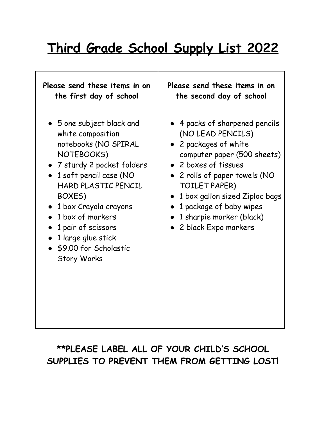## **Third Grade School Supply List 2022**

٦

| Please send these items in on                                                                                                                                                                                                                                                                                                           | Please send these items in on                                                                                                                                                                                                                                                                        |
|-----------------------------------------------------------------------------------------------------------------------------------------------------------------------------------------------------------------------------------------------------------------------------------------------------------------------------------------|------------------------------------------------------------------------------------------------------------------------------------------------------------------------------------------------------------------------------------------------------------------------------------------------------|
| the first day of school                                                                                                                                                                                                                                                                                                                 | the second day of school                                                                                                                                                                                                                                                                             |
| $\bullet$ 5 one subject black and<br>white composition<br>notebooks (NO SPIRAL<br>NOTEBOOKS)<br>• 7 sturdy 2 pocket folders<br>• 1 soft pencil case (NO<br><b>HARD PLASTIC PENCIL</b><br>BOXES)<br>1 box Crayola crayons<br>1 box of markers<br>1 pair of scissors<br>1 large glue stick<br>\$9.00 for Scholastic<br><b>Story Works</b> | 4 packs of sharpened pencils<br>(NO LEAD PENCILS)<br>• 2 packages of white<br>computer paper (500 sheets)<br>• 2 boxes of tissues<br>• 2 rolls of paper towels (NO<br>TOILET PAPER)<br>1 box gallon sized Ziploc bags<br>1 package of baby wipes<br>1 sharpie marker (black)<br>2 black Expo markers |

## **\*\*PLEASE LABEL ALL OF YOUR CHILD'S SCHOOL SUPPLIES TO PREVENT THEM FROM GETTING LOST!**